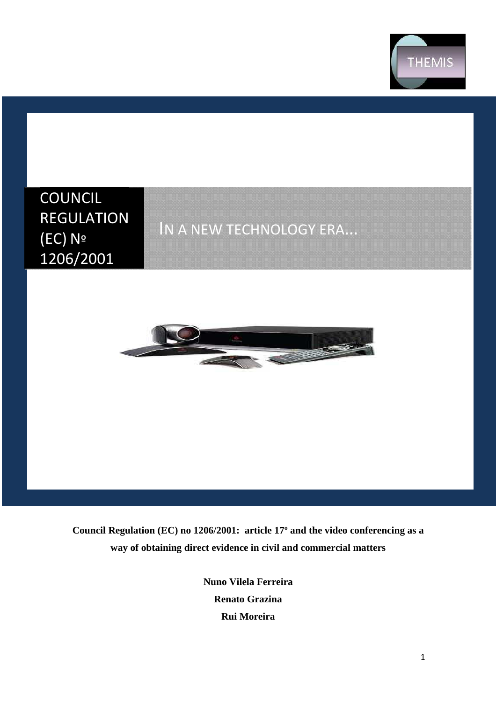

# COUNCIL REGULATION (EC) Nº 1206/2001

# IN A NEW TECHNOLOGY ERA…



**Council Regulation (EC) no 1206/2001: article 17º and the video conferencing as a way of obtaining direct evidence in civil and commercial matters** 

> **Nuno Vilela Ferreira Renato Grazina Rui Moreira**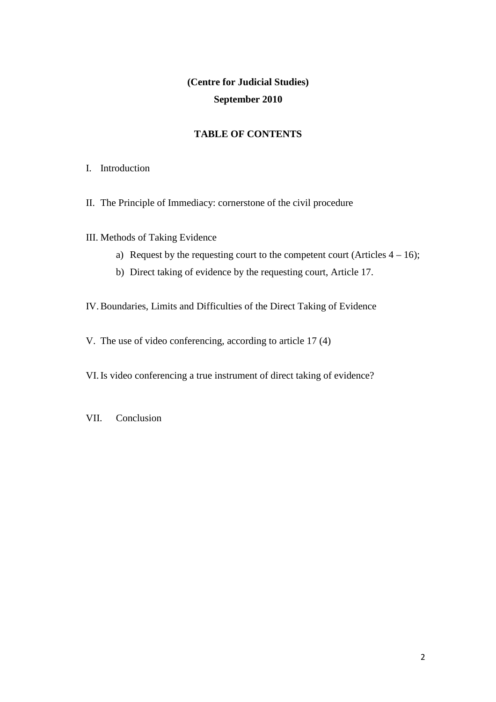# **(Centre for Judicial Studies) September 2010**

# **TABLE OF CONTENTS**

- I. Introduction
- II. The Principle of Immediacy: cornerstone of the civil procedure
- III. Methods of Taking Evidence
	- a) Request by the requesting court to the competent court (Articles  $4 16$ );
	- b) Direct taking of evidence by the requesting court, Article 17.

IV.Boundaries, Limits and Difficulties of the Direct Taking of Evidence

V. The use of video conferencing, according to article 17 (4)

VI.Is video conferencing a true instrument of direct taking of evidence?

VII. Conclusion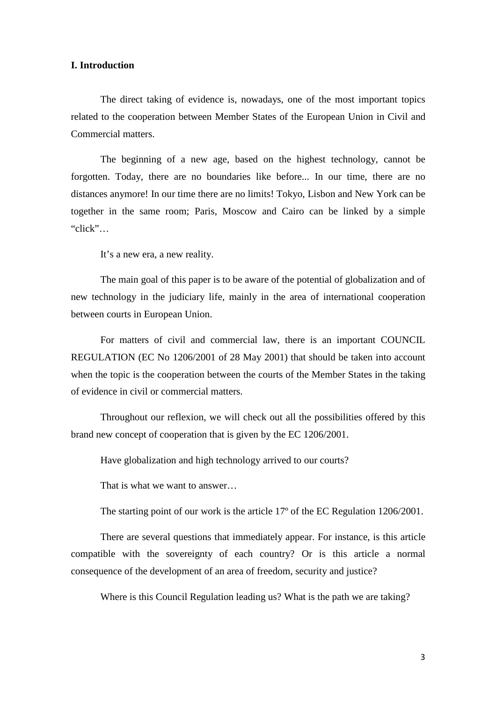### **I. Introduction**

The direct taking of evidence is, nowadays, one of the most important topics related to the cooperation between Member States of the European Union in Civil and Commercial matters.

The beginning of a new age, based on the highest technology, cannot be forgotten. Today, there are no boundaries like before... In our time, there are no distances anymore! In our time there are no limits! Tokyo, Lisbon and New York can be together in the same room; Paris, Moscow and Cairo can be linked by a simple "click"…

It's a new era, a new reality.

The main goal of this paper is to be aware of the potential of globalization and of new technology in the judiciary life, mainly in the area of international cooperation between courts in European Union.

For matters of civil and commercial law, there is an important COUNCIL REGULATION (EC No 1206/2001 of 28 May 2001) that should be taken into account when the topic is the cooperation between the courts of the Member States in the taking of evidence in civil or commercial matters.

Throughout our reflexion, we will check out all the possibilities offered by this brand new concept of cooperation that is given by the EC 1206/2001.

Have globalization and high technology arrived to our courts?

That is what we want to answer…

The starting point of our work is the article 17º of the EC Regulation 1206/2001.

There are several questions that immediately appear. For instance, is this article compatible with the sovereignty of each country? Or is this article a normal consequence of the development of an area of freedom, security and justice?

Where is this Council Regulation leading us? What is the path we are taking?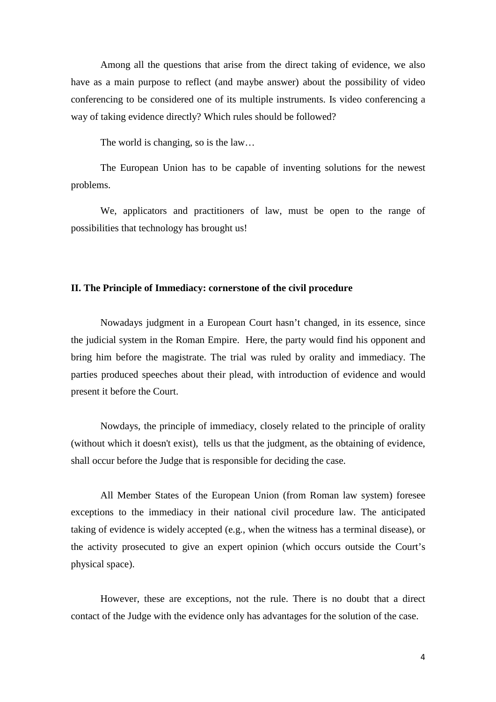Among all the questions that arise from the direct taking of evidence, we also have as a main purpose to reflect (and maybe answer) about the possibility of video conferencing to be considered one of its multiple instruments. Is video conferencing a way of taking evidence directly? Which rules should be followed?

The world is changing, so is the law…

The European Union has to be capable of inventing solutions for the newest problems.

We, applicators and practitioners of law, must be open to the range of possibilities that technology has brought us!

### **II. The Principle of Immediacy: cornerstone of the civil procedure**

Nowadays judgment in a European Court hasn't changed, in its essence, since the judicial system in the Roman Empire. Here, the party would find his opponent and bring him before the magistrate. The trial was ruled by orality and immediacy. The parties produced speeches about their plead, with introduction of evidence and would present it before the Court.

Nowdays, the principle of immediacy, closely related to the principle of orality (without which it doesn't exist), tells us that the judgment, as the obtaining of evidence, shall occur before the Judge that is responsible for deciding the case.

All Member States of the European Union (from Roman law system) foresee exceptions to the immediacy in their national civil procedure law. The anticipated taking of evidence is widely accepted (e.g., when the witness has a terminal disease), or the activity prosecuted to give an expert opinion (which occurs outside the Court's physical space).

However, these are exceptions, not the rule. There is no doubt that a direct contact of the Judge with the evidence only has advantages for the solution of the case.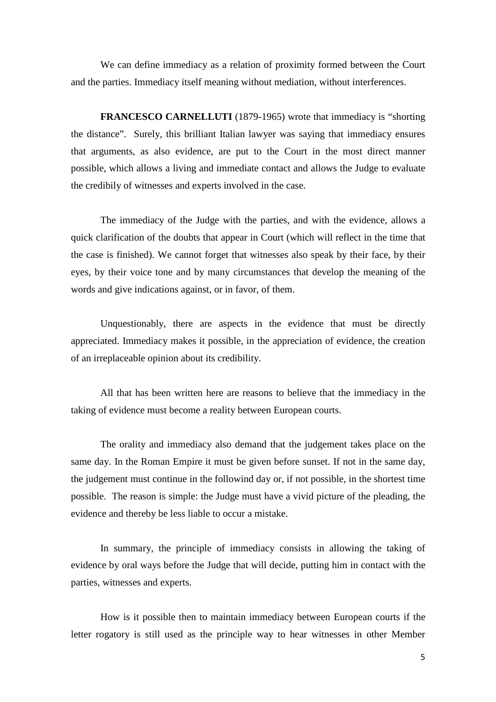We can define immediacy as a relation of proximity formed between the Court and the parties. Immediacy itself meaning without mediation, without interferences.

**FRANCESCO CARNELLUTI** (1879-1965) wrote that immediacy is "shorting the distance". Surely, this brilliant Italian lawyer was saying that immediacy ensures that arguments, as also evidence, are put to the Court in the most direct manner possible, which allows a living and immediate contact and allows the Judge to evaluate the credibily of witnesses and experts involved in the case.

The immediacy of the Judge with the parties, and with the evidence, allows a quick clarification of the doubts that appear in Court (which will reflect in the time that the case is finished). We cannot forget that witnesses also speak by their face, by their eyes, by their voice tone and by many circumstances that develop the meaning of the words and give indications against, or in favor, of them.

Unquestionably, there are aspects in the evidence that must be directly appreciated. Immediacy makes it possible, in the appreciation of evidence, the creation of an irreplaceable opinion about its credibility.

All that has been written here are reasons to believe that the immediacy in the taking of evidence must become a reality between European courts.

The orality and immediacy also demand that the judgement takes place on the same day. In the Roman Empire it must be given before sunset. If not in the same day, the judgement must continue in the followind day or, if not possible, in the shortest time possible. The reason is simple: the Judge must have a vivid picture of the pleading, the evidence and thereby be less liable to occur a mistake.

In summary, the principle of immediacy consists in allowing the taking of evidence by oral ways before the Judge that will decide, putting him in contact with the parties, witnesses and experts.

How is it possible then to maintain immediacy between European courts if the letter rogatory is still used as the principle way to hear witnesses in other Member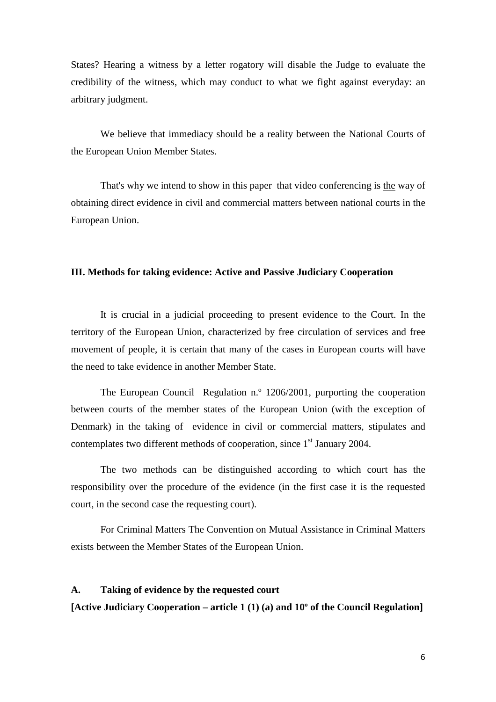States? Hearing a witness by a letter rogatory will disable the Judge to evaluate the credibility of the witness, which may conduct to what we fight against everyday: an arbitrary judgment.

We believe that immediacy should be a reality between the National Courts of the European Union Member States.

That's why we intend to show in this paper that video conferencing is the way of obtaining direct evidence in civil and commercial matters between national courts in the European Union.

## **III. Methods for taking evidence: Active and Passive Judiciary Cooperation**

It is crucial in a judicial proceeding to present evidence to the Court. In the territory of the European Union, characterized by free circulation of services and free movement of people, it is certain that many of the cases in European courts will have the need to take evidence in another Member State.

The European Council Regulation n.º 1206/2001, purporting the cooperation between courts of the member states of the European Union (with the exception of Denmark) in the taking of evidence in civil or commercial matters, stipulates and contemplates two different methods of cooperation, since  $1<sup>st</sup>$  January 2004.

The two methods can be distinguished according to which court has the responsibility over the procedure of the evidence (in the first case it is the requested court, in the second case the requesting court).

For Criminal Matters The Convention on Mutual Assistance in Criminal Matters exists between the Member States of the European Union.

## **A. Taking of evidence by the requested court**

**[Active Judiciary Cooperation – article 1 (1) (a) and 10º of the Council Regulation]**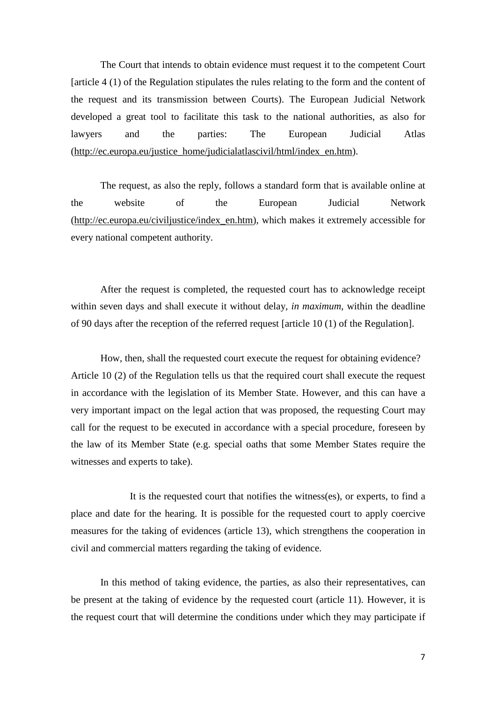The Court that intends to obtain evidence must request it to the competent Court [article 4 (1) of the Regulation stipulates the rules relating to the form and the content of the request and its transmission between Courts). The European Judicial Network developed a great tool to facilitate this task to the national authorities, as also for lawyers and the parties: The European Judicial Atlas (http://ec.europa.eu/justice\_home/judicialatlascivil/html/index\_en.htm).

 The request, as also the reply, follows a standard form that is available online at the website of the European Judicial Network (http://ec.europa.eu/civiljustice/index\_en.htm), which makes it extremely accessible for every national competent authority.

 After the request is completed, the requested court has to acknowledge receipt within seven days and shall execute it without delay, *in maximum,* within the deadline of 90 days after the reception of the referred request [article 10 (1) of the Regulation].

 How, then, shall the requested court execute the request for obtaining evidence? Article 10 (2) of the Regulation tells us that the required court shall execute the request in accordance with the legislation of its Member State. However, and this can have a very important impact on the legal action that was proposed, the requesting Court may call for the request to be executed in accordance with a special procedure, foreseen by the law of its Member State (e.g. special oaths that some Member States require the witnesses and experts to take).

 It is the requested court that notifies the witness(es), or experts, to find a place and date for the hearing. It is possible for the requested court to apply coercive measures for the taking of evidences (article 13), which strengthens the cooperation in civil and commercial matters regarding the taking of evidence.

In this method of taking evidence, the parties, as also their representatives, can be present at the taking of evidence by the requested court (article 11). However, it is the request court that will determine the conditions under which they may participate if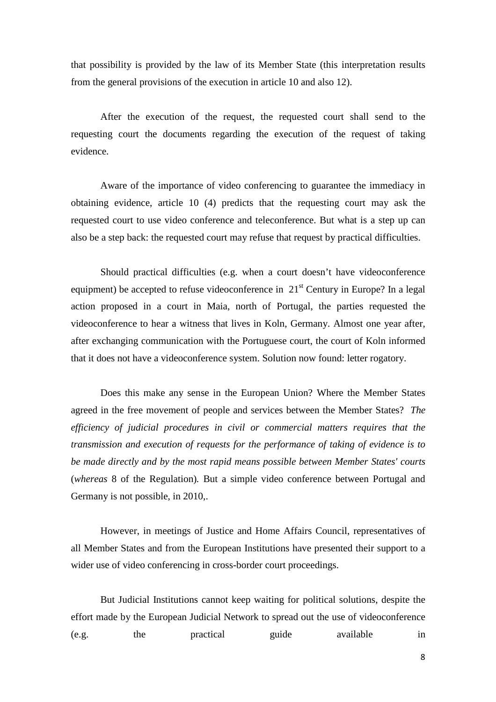that possibility is provided by the law of its Member State (this interpretation results from the general provisions of the execution in article 10 and also 12).

After the execution of the request, the requested court shall send to the requesting court the documents regarding the execution of the request of taking evidence.

Aware of the importance of video conferencing to guarantee the immediacy in obtaining evidence, article 10 (4) predicts that the requesting court may ask the requested court to use video conference and teleconference. But what is a step up can also be a step back: the requested court may refuse that request by practical difficulties.

 Should practical difficulties (e.g. when a court doesn't have videoconference equipment) be accepted to refuse videoconference in  $21<sup>st</sup>$  Century in Europe? In a legal action proposed in a court in Maia, north of Portugal, the parties requested the videoconference to hear a witness that lives in Koln, Germany. Almost one year after, after exchanging communication with the Portuguese court, the court of Koln informed that it does not have a videoconference system. Solution now found: letter rogatory.

Does this make any sense in the European Union? Where the Member States agreed in the free movement of people and services between the Member States? *The efficiency of judicial procedures in civil or commercial matters requires that the transmission and execution of requests for the performance of taking of evidence is to be made directly and by the most rapid means possible between Member States' courts*  (*whereas* 8 of the Regulation)*.* But a simple video conference between Portugal and Germany is not possible, in 2010,.

However, in meetings of Justice and Home Affairs Council, representatives of all Member States and from the European Institutions have presented their support to a wider use of video conferencing in cross-border court proceedings.

But Judicial Institutions cannot keep waiting for political solutions, despite the effort made by the European Judicial Network to spread out the use of videoconference (e.g. the practical guide available in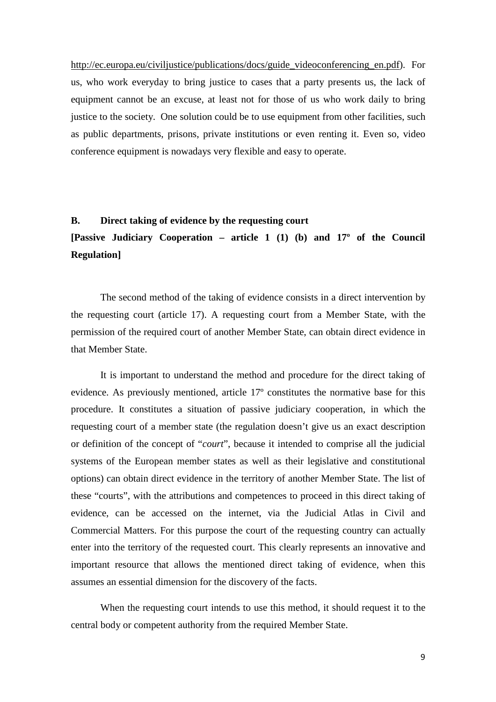http://ec.europa.eu/civiljustice/publications/docs/guide\_videoconferencing\_en.pdf). For us, who work everyday to bring justice to cases that a party presents us, the lack of equipment cannot be an excuse, at least not for those of us who work daily to bring justice to the society. One solution could be to use equipment from other facilities, such as public departments, prisons, private institutions or even renting it. Even so, video conference equipment is nowadays very flexible and easy to operate.

# **B. Direct taking of evidence by the requesting court**

# **[Passive Judiciary Cooperation – article 1 (1) (b) and 17º of the Council Regulation]**

The second method of the taking of evidence consists in a direct intervention by the requesting court (article 17). A requesting court from a Member State, with the permission of the required court of another Member State, can obtain direct evidence in that Member State.

It is important to understand the method and procedure for the direct taking of evidence. As previously mentioned, article 17º constitutes the normative base for this procedure. It constitutes a situation of passive judiciary cooperation, in which the requesting court of a member state (the regulation doesn't give us an exact description or definition of the concept of "*court*", because it intended to comprise all the judicial systems of the European member states as well as their legislative and constitutional options) can obtain direct evidence in the territory of another Member State. The list of these "courts", with the attributions and competences to proceed in this direct taking of evidence, can be accessed on the internet, via the Judicial Atlas in Civil and Commercial Matters. For this purpose the court of the requesting country can actually enter into the territory of the requested court. This clearly represents an innovative and important resource that allows the mentioned direct taking of evidence, when this assumes an essential dimension for the discovery of the facts.

When the requesting court intends to use this method, it should request it to the central body or competent authority from the required Member State.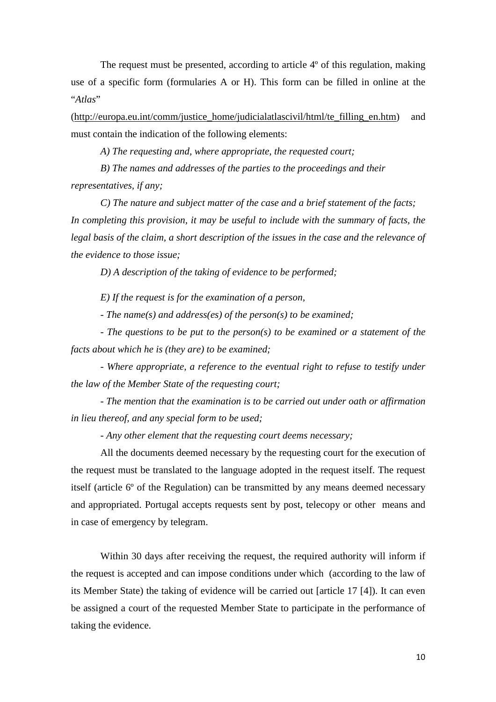The request must be presented, according to article 4<sup>o</sup> of this regulation, making use of a specific form (formularies A or H). This form can be filled in online at the "*Atlas*"

(http://europa.eu.int/comm/justice\_home/judicialatlascivil/html/te\_filling\_en.htm) and must contain the indication of the following elements:

 *A) The requesting and, where appropriate, the requested court;* 

 *B) The names and addresses of the parties to the proceedings and their representatives, if any;* 

 *C) The nature and subject matter of the case and a brief statement of the facts; In completing this provision, it may be useful to include with the summary of facts, the legal basis of the claim, a short description of the issues in the case and the relevance of the evidence to those issue;* 

 *D) A description of the taking of evidence to be performed;* 

 *E) If the request is for the examination of a person,* 

 *- The name(s) and address(es) of the person(s) to be examined;* 

 *- The questions to be put to the person(s) to be examined or a statement of the facts about which he is (they are) to be examined;* 

 *- Where appropriate, a reference to the eventual right to refuse to testify under the law of the Member State of the requesting court;* 

 *- The mention that the examination is to be carried out under oath or affirmation in lieu thereof, and any special form to be used;* 

 *- Any other element that the requesting court deems necessary;*

 All the documents deemed necessary by the requesting court for the execution of the request must be translated to the language adopted in the request itself. The request itself (article 6º of the Regulation) can be transmitted by any means deemed necessary and appropriated. Portugal accepts requests sent by post, telecopy or other means and in case of emergency by telegram.

Within 30 days after receiving the request, the required authority will inform if the request is accepted and can impose conditions under which (according to the law of its Member State) the taking of evidence will be carried out [article 17 [4]). It can even be assigned a court of the requested Member State to participate in the performance of taking the evidence.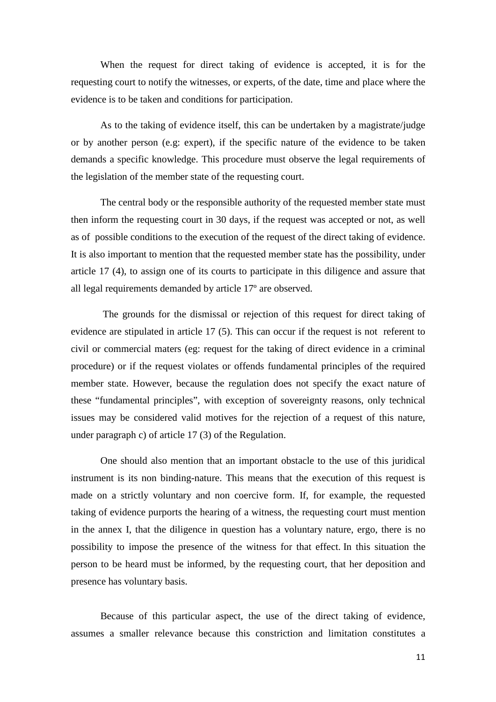When the request for direct taking of evidence is accepted, it is for the requesting court to notify the witnesses, or experts, of the date, time and place where the evidence is to be taken and conditions for participation.

 As to the taking of evidence itself, this can be undertaken by a magistrate/judge or by another person (e.g: expert), if the specific nature of the evidence to be taken demands a specific knowledge. This procedure must observe the legal requirements of the legislation of the member state of the requesting court.

 The central body or the responsible authority of the requested member state must then inform the requesting court in 30 days, if the request was accepted or not, as well as of possible conditions to the execution of the request of the direct taking of evidence. It is also important to mention that the requested member state has the possibility, under article 17 (4), to assign one of its courts to participate in this diligence and assure that all legal requirements demanded by article 17º are observed.

 The grounds for the dismissal or rejection of this request for direct taking of evidence are stipulated in article 17 (5). This can occur if the request is not referent to civil or commercial maters (eg: request for the taking of direct evidence in a criminal procedure) or if the request violates or offends fundamental principles of the required member state. However, because the regulation does not specify the exact nature of these "fundamental principles", with exception of sovereignty reasons, only technical issues may be considered valid motives for the rejection of a request of this nature, under paragraph c) of article 17 (3) of the Regulation.

One should also mention that an important obstacle to the use of this juridical instrument is its non binding-nature. This means that the execution of this request is made on a strictly voluntary and non coercive form. If, for example, the requested taking of evidence purports the hearing of a witness, the requesting court must mention in the annex I, that the diligence in question has a voluntary nature, ergo, there is no possibility to impose the presence of the witness for that effect. In this situation the person to be heard must be informed, by the requesting court, that her deposition and presence has voluntary basis.

 Because of this particular aspect, the use of the direct taking of evidence, assumes a smaller relevance because this constriction and limitation constitutes a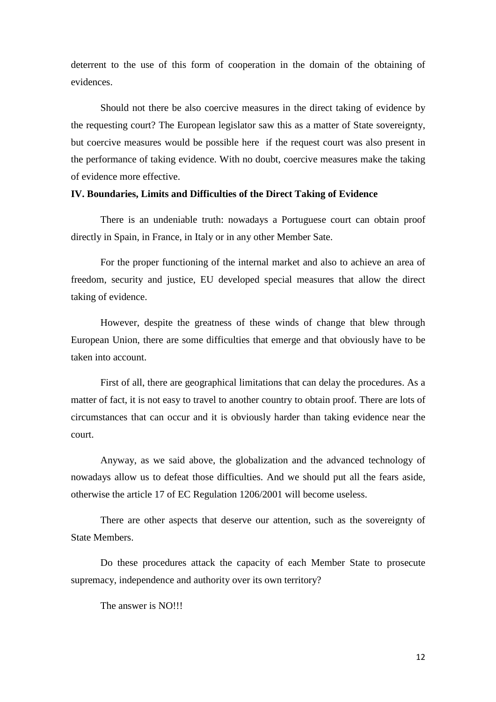deterrent to the use of this form of cooperation in the domain of the obtaining of evidences.

Should not there be also coercive measures in the direct taking of evidence by the requesting court? The European legislator saw this as a matter of State sovereignty, but coercive measures would be possible here if the request court was also present in the performance of taking evidence. With no doubt, coercive measures make the taking of evidence more effective.

#### **IV. Boundaries, Limits and Difficulties of the Direct Taking of Evidence**

There is an undeniable truth: nowadays a Portuguese court can obtain proof directly in Spain, in France, in Italy or in any other Member Sate.

For the proper functioning of the internal market and also to achieve an area of freedom, security and justice, EU developed special measures that allow the direct taking of evidence.

However, despite the greatness of these winds of change that blew through European Union, there are some difficulties that emerge and that obviously have to be taken into account.

First of all, there are geographical limitations that can delay the procedures. As a matter of fact, it is not easy to travel to another country to obtain proof. There are lots of circumstances that can occur and it is obviously harder than taking evidence near the court.

Anyway, as we said above, the globalization and the advanced technology of nowadays allow us to defeat those difficulties. And we should put all the fears aside, otherwise the article 17 of EC Regulation 1206/2001 will become useless.

There are other aspects that deserve our attention, such as the sovereignty of State Members.

Do these procedures attack the capacity of each Member State to prosecute supremacy, independence and authority over its own territory?

The answer is NO!!!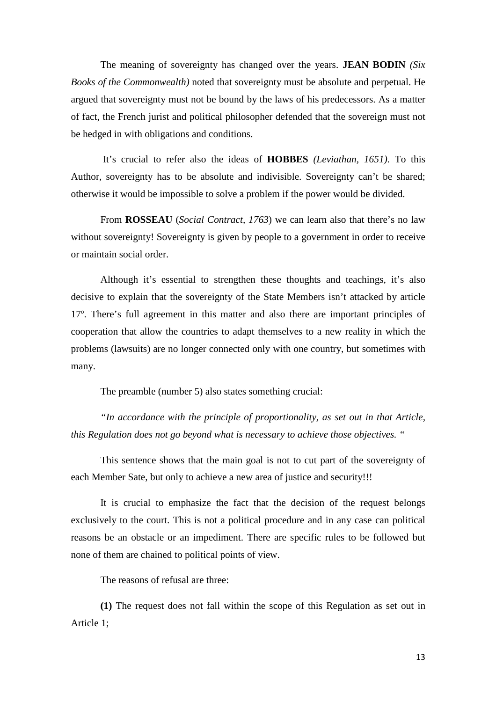The meaning of sovereignty has changed over the years. **JEAN BODIN** *(Six Books of the Commonwealth)* noted that sovereignty must be absolute and perpetual. He argued that sovereignty must not be bound by the laws of his predecessors. As a matter of fact, the French jurist and political philosopher defended that the sovereign must not be hedged in with obligations and conditions.

 It's crucial to refer also the ideas of **HOBBES** *(Leviathan, 1651)*. To this Author, sovereignty has to be absolute and indivisible. Sovereignty can't be shared; otherwise it would be impossible to solve a problem if the power would be divided.

From **ROSSEAU** (*Social Contract, 1763*) we can learn also that there's no law without sovereignty! Sovereignty is given by people to a government in order to receive or maintain social order.

Although it's essential to strengthen these thoughts and teachings, it's also decisive to explain that the sovereignty of the State Members isn't attacked by article 17º. There's full agreement in this matter and also there are important principles of cooperation that allow the countries to adapt themselves to a new reality in which the problems (lawsuits) are no longer connected only with one country, but sometimes with many.

The preamble (number 5) also states something crucial:

*"In accordance with the principle of proportionality, as set out in that Article, this Regulation does not go beyond what is necessary to achieve those objectives. "* 

This sentence shows that the main goal is not to cut part of the sovereignty of each Member Sate, but only to achieve a new area of justice and security!!!

It is crucial to emphasize the fact that the decision of the request belongs exclusively to the court. This is not a political procedure and in any case can political reasons be an obstacle or an impediment. There are specific rules to be followed but none of them are chained to political points of view.

The reasons of refusal are three:

**(1)** The request does not fall within the scope of this Regulation as set out in Article 1;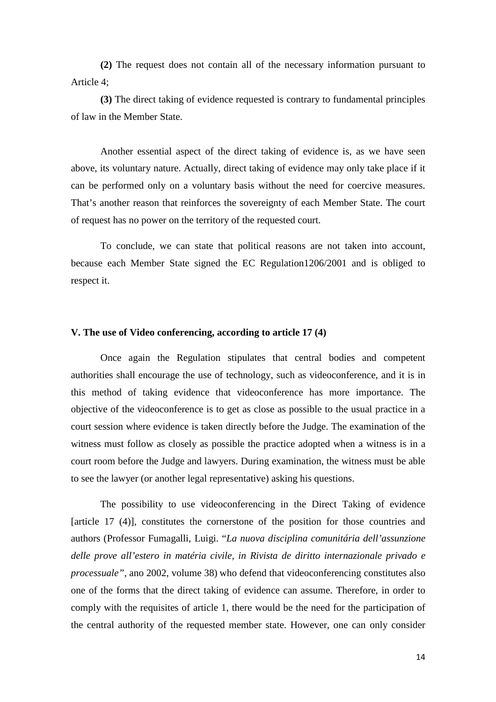**(2)** The request does not contain all of the necessary information pursuant to Article 4;

**(3)** The direct taking of evidence requested is contrary to fundamental principles of law in the Member State.

Another essential aspect of the direct taking of evidence is, as we have seen above, its voluntary nature. Actually, direct taking of evidence may only take place if it can be performed only on a voluntary basis without the need for coercive measures. That's another reason that reinforces the sovereignty of each Member State. The court of request has no power on the territory of the requested court.

To conclude, we can state that political reasons are not taken into account, because each Member State signed the EC Regulation1206/2001 and is obliged to respect it.

#### **V. The use of Video conferencing, according to article 17 (4)**

 Once again the Regulation stipulates that central bodies and competent authorities shall encourage the use of technology, such as videoconference, and it is in this method of taking evidence that videoconference has more importance. The objective of the videoconference is to get as close as possible to the usual practice in a court session where evidence is taken directly before the Judge. The examination of the witness must follow as closely as possible the practice adopted when a witness is in a court room before the Judge and lawyers. During examination, the witness must be able to see the lawyer (or another legal representative) asking his questions.

The possibility to use videoconferencing in the Direct Taking of evidence [article 17 (4)], constitutes the cornerstone of the position for those countries and authors (Professor Fumagalli, Luigi. "*La nuova disciplina comunitária dell'assunzione delle prove all'estero in matéria civile, in Rivista de diritto internazionale privado e processuale"*, ano 2002, volume 38) who defend that videoconferencing constitutes also one of the forms that the direct taking of evidence can assume. Therefore, in order to comply with the requisites of article 1, there would be the need for the participation of the central authority of the requested member state. However, one can only consider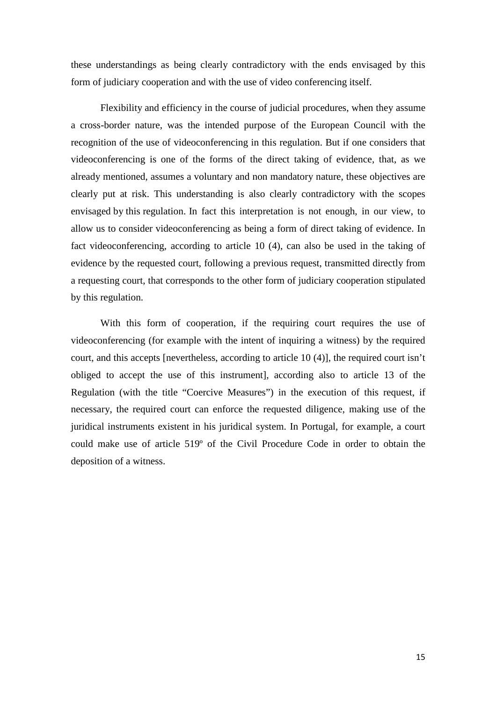these understandings as being clearly contradictory with the ends envisaged by this form of judiciary cooperation and with the use of video conferencing itself.

Flexibility and efficiency in the course of judicial procedures, when they assume a cross-border nature, was the intended purpose of the European Council with the recognition of the use of videoconferencing in this regulation. But if one considers that videoconferencing is one of the forms of the direct taking of evidence, that, as we already mentioned, assumes a voluntary and non mandatory nature, these objectives are clearly put at risk. This understanding is also clearly contradictory with the scopes envisaged by this regulation. In fact this interpretation is not enough, in our view, to allow us to consider videoconferencing as being a form of direct taking of evidence. In fact videoconferencing, according to article 10 (4), can also be used in the taking of evidence by the requested court, following a previous request, transmitted directly from a requesting court, that corresponds to the other form of judiciary cooperation stipulated by this regulation.

With this form of cooperation, if the requiring court requires the use of videoconferencing (for example with the intent of inquiring a witness) by the required court, and this accepts [nevertheless, according to article 10 (4)], the required court isn't obliged to accept the use of this instrument], according also to article 13 of the Regulation (with the title "Coercive Measures") in the execution of this request, if necessary, the required court can enforce the requested diligence, making use of the juridical instruments existent in his juridical system. In Portugal, for example, a court could make use of article 519º of the Civil Procedure Code in order to obtain the deposition of a witness.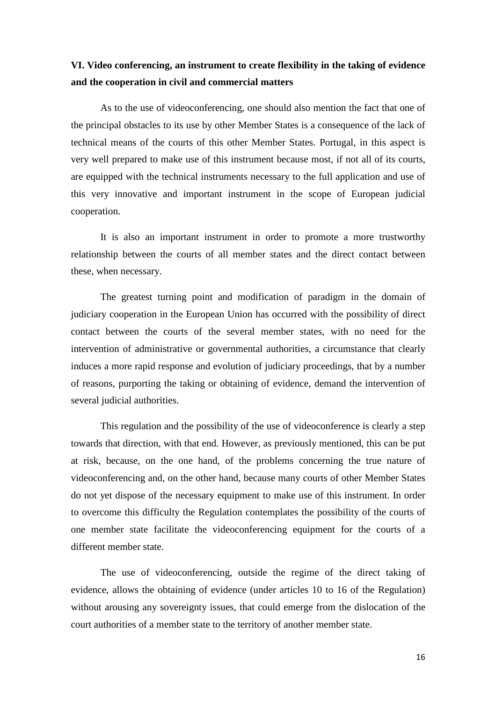# **VI. Video conferencing, an instrument to create flexibility in the taking of evidence and the cooperation in civil and commercial matters**

As to the use of videoconferencing, one should also mention the fact that one of the principal obstacles to its use by other Member States is a consequence of the lack of technical means of the courts of this other Member States. Portugal, in this aspect is very well prepared to make use of this instrument because most, if not all of its courts, are equipped with the technical instruments necessary to the full application and use of this very innovative and important instrument in the scope of European judicial cooperation.

 It is also an important instrument in order to promote a more trustworthy relationship between the courts of all member states and the direct contact between these, when necessary.

 The greatest turning point and modification of paradigm in the domain of judiciary cooperation in the European Union has occurred with the possibility of direct contact between the courts of the several member states, with no need for the intervention of administrative or governmental authorities, a circumstance that clearly induces a more rapid response and evolution of judiciary proceedings, that by a number of reasons, purporting the taking or obtaining of evidence, demand the intervention of several judicial authorities.

 This regulation and the possibility of the use of videoconference is clearly a step towards that direction, with that end. However, as previously mentioned, this can be put at risk, because, on the one hand, of the problems concerning the true nature of videoconferencing and, on the other hand, because many courts of other Member States do not yet dispose of the necessary equipment to make use of this instrument. In order to overcome this difficulty the Regulation contemplates the possibility of the courts of one member state facilitate the videoconferencing equipment for the courts of a different member state.

 The use of videoconferencing, outside the regime of the direct taking of evidence, allows the obtaining of evidence (under articles 10 to 16 of the Regulation) without arousing any sovereignty issues, that could emerge from the dislocation of the court authorities of a member state to the territory of another member state.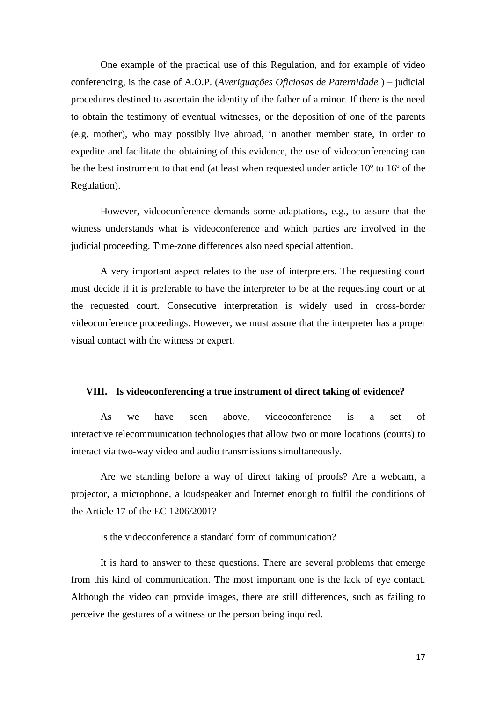One example of the practical use of this Regulation, and for example of video conferencing, is the case of A.O.P. (*Averiguações Oficiosas de Paternidade* ) – judicial procedures destined to ascertain the identity of the father of a minor. If there is the need to obtain the testimony of eventual witnesses, or the deposition of one of the parents (e.g. mother), who may possibly live abroad, in another member state, in order to expedite and facilitate the obtaining of this evidence, the use of videoconferencing can be the best instrument to that end (at least when requested under article 10º to 16º of the Regulation).

However, videoconference demands some adaptations, e.g., to assure that the witness understands what is videoconference and which parties are involved in the judicial proceeding. Time-zone differences also need special attention.

A very important aspect relates to the use of interpreters. The requesting court must decide if it is preferable to have the interpreter to be at the requesting court or at the requested court. Consecutive interpretation is widely used in cross-border videoconference proceedings. However, we must assure that the interpreter has a proper visual contact with the witness or expert.

#### **VIII. Is videoconferencing a true instrument of direct taking of evidence?**

As we have seen above, videoconference is a set of interactive telecommunication technologies that allow two or more locations (courts) to interact via two-way video and audio transmissions simultaneously.

Are we standing before a way of direct taking of proofs? Are a webcam, a projector, a microphone, a loudspeaker and Internet enough to fulfil the conditions of the Article 17 of the EC 1206/2001?

Is the videoconference a standard form of communication?

It is hard to answer to these questions. There are several problems that emerge from this kind of communication. The most important one is the lack of eye contact. Although the video can provide images, there are still differences, such as failing to perceive the gestures of a witness or the person being inquired.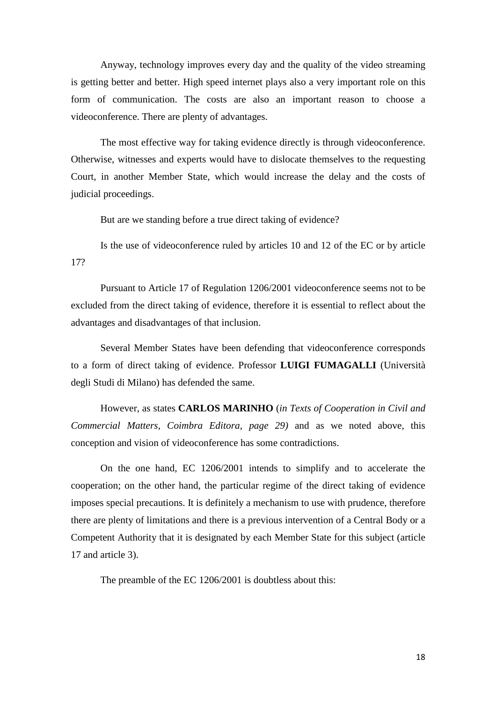Anyway, technology improves every day and the quality of the video streaming is getting better and better. High speed internet plays also a very important role on this form of communication. The costs are also an important reason to choose a videoconference. There are plenty of advantages.

The most effective way for taking evidence directly is through videoconference. Otherwise, witnesses and experts would have to dislocate themselves to the requesting Court, in another Member State, which would increase the delay and the costs of judicial proceedings.

But are we standing before a true direct taking of evidence?

Is the use of videoconference ruled by articles 10 and 12 of the EC or by article 17?

Pursuant to Article 17 of Regulation 1206/2001 videoconference seems not to be excluded from the direct taking of evidence, therefore it is essential to reflect about the advantages and disadvantages of that inclusion.

Several Member States have been defending that videoconference corresponds to a form of direct taking of evidence. Professor **LUIGI FUMAGALLI** (Università degli Studi di Milano) has defended the same.

However, as states **CARLOS MARINHO** (*in Texts of Cooperation in Civil and Commercial Matters, Coimbra Editora, page 29)* and as we noted above, this conception and vision of videoconference has some contradictions.

On the one hand, EC 1206/2001 intends to simplify and to accelerate the cooperation; on the other hand, the particular regime of the direct taking of evidence imposes special precautions. It is definitely a mechanism to use with prudence, therefore there are plenty of limitations and there is a previous intervention of a Central Body or a Competent Authority that it is designated by each Member State for this subject (article 17 and article 3).

The preamble of the EC 1206/2001 is doubtless about this: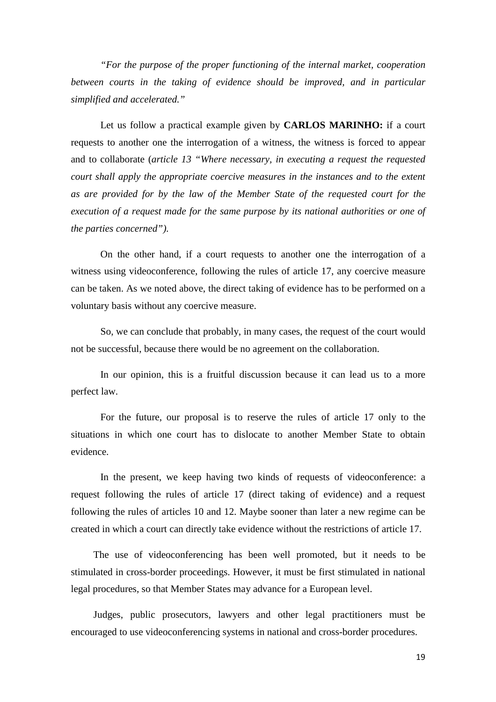*"For the purpose of the proper functioning of the internal market, cooperation*  between courts in the taking of evidence should be improved, and in particular *simplified and accelerated."* 

Let us follow a practical example given by **CARLOS MARINHO:** if a court requests to another one the interrogation of a witness, the witness is forced to appear and to collaborate (*article 13 "Where necessary, in executing a request the requested court shall apply the appropriate coercive measures in the instances and to the extent as are provided for by the law of the Member State of the requested court for the execution of a request made for the same purpose by its national authorities or one of the parties concerned").* 

On the other hand, if a court requests to another one the interrogation of a witness using videoconference, following the rules of article 17, any coercive measure can be taken. As we noted above, the direct taking of evidence has to be performed on a voluntary basis without any coercive measure.

So, we can conclude that probably, in many cases, the request of the court would not be successful, because there would be no agreement on the collaboration.

In our opinion, this is a fruitful discussion because it can lead us to a more perfect law.

For the future, our proposal is to reserve the rules of article 17 only to the situations in which one court has to dislocate to another Member State to obtain evidence.

In the present, we keep having two kinds of requests of videoconference: a request following the rules of article 17 (direct taking of evidence) and a request following the rules of articles 10 and 12. Maybe sooner than later a new regime can be created in which a court can directly take evidence without the restrictions of article 17.

 The use of videoconferencing has been well promoted, but it needs to be stimulated in cross-border proceedings. However, it must be first stimulated in national legal procedures, so that Member States may advance for a European level.

 Judges, public prosecutors, lawyers and other legal practitioners must be encouraged to use videoconferencing systems in national and cross-border procedures.